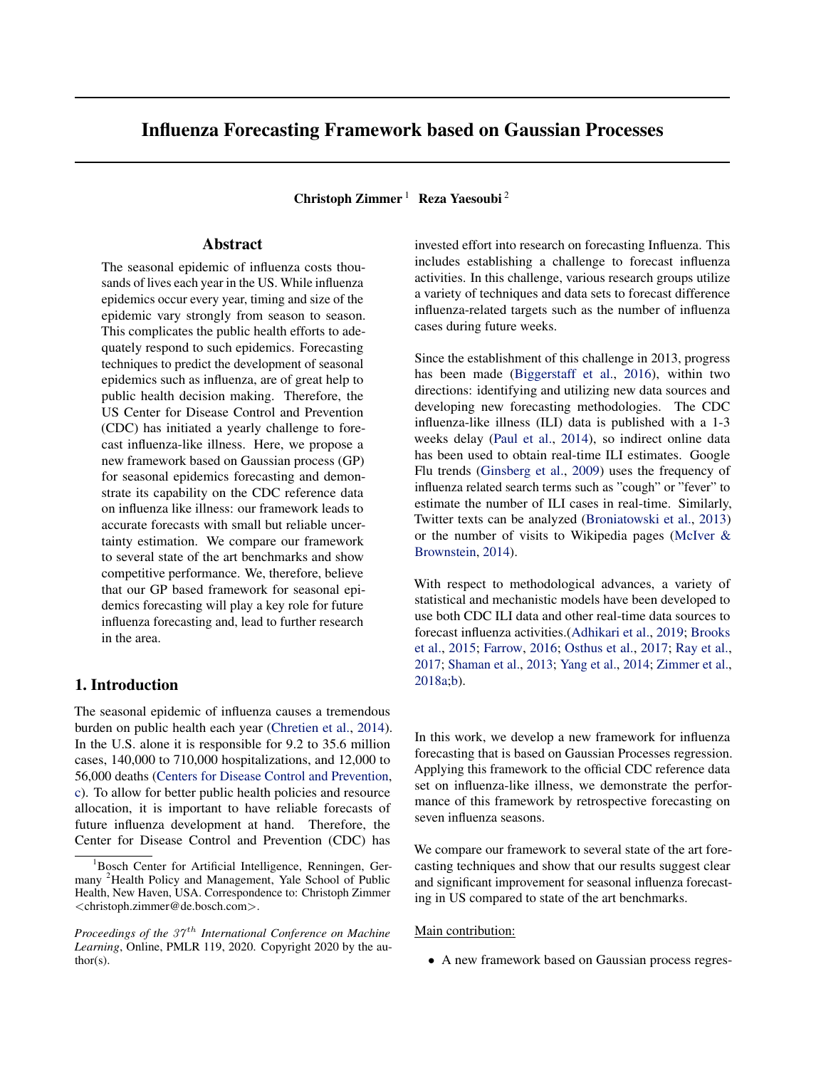# Influenza Forecasting Framework based on Gaussian Processes

Christoph Zimmer<sup>1</sup> Reza Yaesoubi<sup>2</sup>

# Abstract

The seasonal epidemic of influenza costs thousands of lives each year in the US. While influenza epidemics occur every year, timing and size of the epidemic vary strongly from season to season. This complicates the public health efforts to adequately respond to such epidemics. Forecasting techniques to predict the development of seasonal epidemics such as influenza, are of great help to public health decision making. Therefore, the US Center for Disease Control and Prevention (CDC) has initiated a yearly challenge to forecast influenza-like illness. Here, we propose a new framework based on Gaussian process (GP) for seasonal epidemics forecasting and demonstrate its capability on the CDC reference data on influenza like illness: our framework leads to accurate forecasts with small but reliable uncertainty estimation. We compare our framework to several state of the art benchmarks and show competitive performance. We, therefore, believe that our GP based framework for seasonal epidemics forecasting will play a key role for future influenza forecasting and, lead to further research in the area.

## 1. Introduction

The seasonal epidemic of influenza causes a tremendous burden on public health each year [\(Chretien et al.,](#page-7-0) [2014\)](#page-7-0). In the U.S. alone it is responsible for 9.2 to 35.6 million cases, 140,000 to 710,000 hospitalizations, and 12,000 to 56,000 deaths [\(Centers for Disease Control and Prevention,](#page-7-0) [c\)](#page-7-0). To allow for better public health policies and resource allocation, it is important to have reliable forecasts of future influenza development at hand. Therefore, the Center for Disease Control and Prevention (CDC) has

invested effort into research on forecasting Influenza. This includes establishing a challenge to forecast influenza activities. In this challenge, various research groups utilize a variety of techniques and data sets to forecast difference influenza-related targets such as the number of influenza cases during future weeks.

Since the establishment of this challenge in 2013, progress has been made [\(Biggerstaff et al.,](#page-7-0) [2016\)](#page-7-0), within two directions: identifying and utilizing new data sources and developing new forecasting methodologies. The CDC influenza-like illness (ILI) data is published with a 1-3 weeks delay [\(Paul et al.,](#page-8-0) [2014\)](#page-8-0), so indirect online data has been used to obtain real-time ILI estimates. Google Flu trends [\(Ginsberg et al.,](#page-7-0) [2009\)](#page-7-0) uses the frequency of influenza related search terms such as "cough" or "fever" to estimate the number of ILI cases in real-time. Similarly, Twitter texts can be analyzed [\(Broniatowski et al.,](#page-7-0) [2013\)](#page-7-0) or the number of visits to Wikipedia pages [\(McIver &](#page-8-0) [Brownstein,](#page-8-0) [2014\)](#page-8-0).

With respect to methodological advances, a variety of statistical and mechanistic models have been developed to use both CDC ILI data and other real-time data sources to forecast influenza activities.[\(Adhikari et al.,](#page-7-0) [2019;](#page-7-0) [Brooks](#page-7-0) [et al.,](#page-7-0) [2015;](#page-7-0) [Farrow,](#page-7-0) [2016;](#page-7-0) [Osthus et al.,](#page-8-0) [2017;](#page-8-0) [Ray et al.,](#page-8-0) [2017;](#page-8-0) [Shaman et al.,](#page-8-0) [2013;](#page-8-0) [Yang et al.,](#page-8-0) [2014;](#page-8-0) [Zimmer et al.,](#page-8-0) [2018a;b\)](#page-8-0).

In this work, we develop a new framework for influenza forecasting that is based on Gaussian Processes regression. Applying this framework to the official CDC reference data set on influenza-like illness, we demonstrate the performance of this framework by retrospective forecasting on seven influenza seasons.

We compare our framework to several state of the art forecasting techniques and show that our results suggest clear and significant improvement for seasonal influenza forecasting in US compared to state of the art benchmarks.

### Main contribution:

• A new framework based on Gaussian process regres-

<sup>&</sup>lt;sup>1</sup>Bosch Center for Artificial Intelligence, Renningen, Germany <sup>2</sup>Health Policy and Management, Yale School of Public Health, New Haven, USA. Correspondence to: Christoph Zimmer <christoph.zimmer@de.bosch.com>.

*Proceedings of the 37<sup>th</sup> International Conference on Machine Learning*, Online, PMLR 119, 2020. Copyright 2020 by the author(s).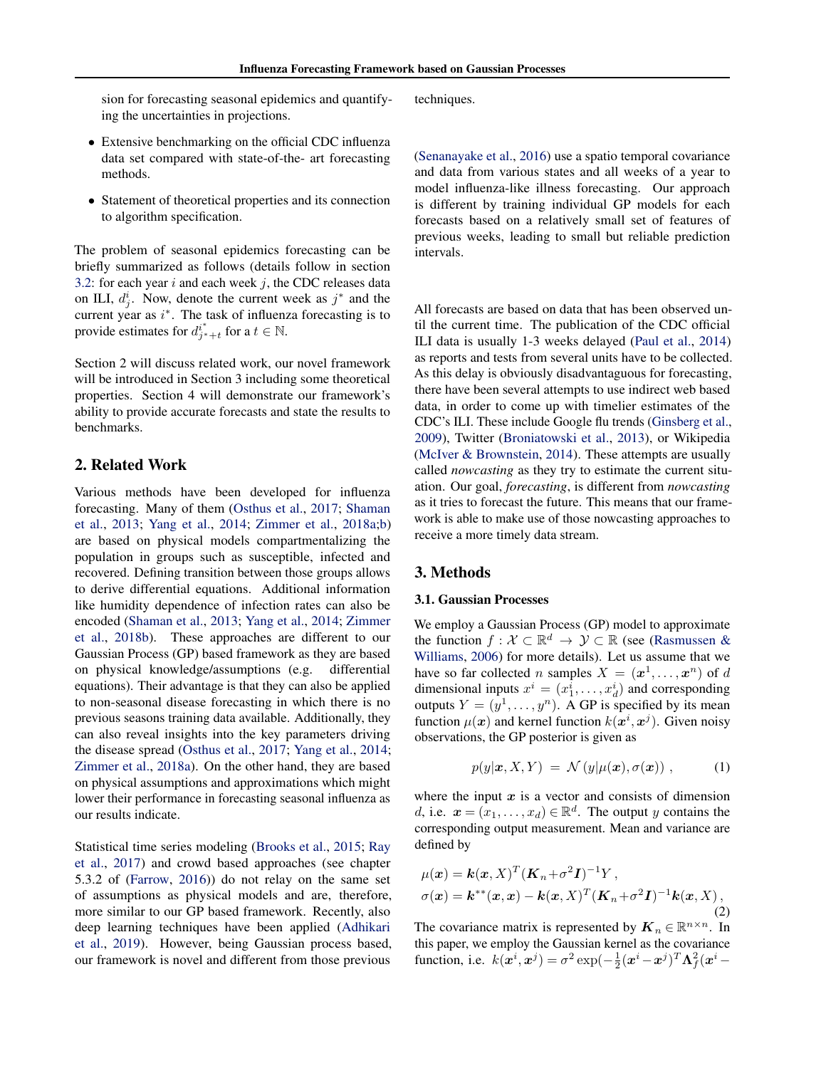<span id="page-1-0"></span>sion for forecasting seasonal epidemics and quantifying the uncertainties in projections.

# • Extensive benchmarking on the official CDC influenza data set compared with state-of-the- art forecasting methods.

• Statement of theoretical properties and its connection to algorithm specification.

The problem of seasonal epidemics forecasting can be briefly summarized as follows (details follow in section [3.2:](#page-2-0) for each year  $i$  and each week  $j$ , the CDC releases data on ILI,  $d_j^i$ . Now, denote the current week as  $j^*$  and the current year as  $i^*$ . The task of influenza forecasting is to provide estimates for  $d_{j^*+t}^{i^*}$  for a  $t \in \mathbb{N}$ .

Section 2 will discuss related work, our novel framework will be introduced in Section 3 including some theoretical properties. Section 4 will demonstrate our framework's ability to provide accurate forecasts and state the results to benchmarks.

## 2. Related Work

Various methods have been developed for influenza forecasting. Many of them [\(Osthus et al.,](#page-8-0) [2017;](#page-8-0) [Shaman](#page-8-0) [et al.,](#page-8-0) [2013;](#page-8-0) [Yang et al.,](#page-8-0) [2014;](#page-8-0) [Zimmer et al.,](#page-8-0) [2018a;b\)](#page-8-0) are based on physical models compartmentalizing the population in groups such as susceptible, infected and recovered. Defining transition between those groups allows to derive differential equations. Additional information like humidity dependence of infection rates can also be encoded [\(Shaman et al.,](#page-8-0) [2013;](#page-8-0) [Yang et al.,](#page-8-0) [2014;](#page-8-0) [Zimmer](#page-8-0) [et al.,](#page-8-0) [2018b\)](#page-8-0). These approaches are different to our Gaussian Process (GP) based framework as they are based on physical knowledge/assumptions (e.g. differential equations). Their advantage is that they can also be applied to non-seasonal disease forecasting in which there is no previous seasons training data available. Additionally, they can also reveal insights into the key parameters driving the disease spread [\(Osthus et al.,](#page-8-0) [2017;](#page-8-0) [Yang et al.,](#page-8-0) [2014;](#page-8-0) [Zimmer et al.,](#page-8-0) [2018a\)](#page-8-0). On the other hand, they are based on physical assumptions and approximations which might lower their performance in forecasting seasonal influenza as our results indicate.

Statistical time series modeling [\(Brooks et al.,](#page-7-0) [2015;](#page-7-0) [Ray](#page-8-0) [et al.,](#page-8-0) [2017\)](#page-8-0) and crowd based approaches (see chapter 5.3.2 of [\(Farrow,](#page-7-0) [2016\)](#page-7-0)) do not relay on the same set of assumptions as physical models and are, therefore, more similar to our GP based framework. Recently, also deep learning techniques have been applied [\(Adhikari](#page-7-0) [et al.,](#page-7-0) [2019\)](#page-7-0). However, being Gaussian process based, our framework is novel and different from those previous

techniques.

[\(Senanayake et al.,](#page-8-0) [2016\)](#page-8-0) use a spatio temporal covariance and data from various states and all weeks of a year to model influenza-like illness forecasting. Our approach is different by training individual GP models for each forecasts based on a relatively small set of features of previous weeks, leading to small but reliable prediction intervals.

All forecasts are based on data that has been observed until the current time. The publication of the CDC official ILI data is usually 1-3 weeks delayed [\(Paul et al.,](#page-8-0) [2014\)](#page-8-0) as reports and tests from several units have to be collected. As this delay is obviously disadvantaguous for forecasting, there have been several attempts to use indirect web based data, in order to come up with timelier estimates of the CDC's ILI. These include Google flu trends [\(Ginsberg et al.,](#page-7-0) [2009\)](#page-7-0), Twitter [\(Broniatowski et al.,](#page-7-0) [2013\)](#page-7-0), or Wikipedia [\(McIver & Brownstein,](#page-8-0) [2014\)](#page-8-0). These attempts are usually called *nowcasting* as they try to estimate the current situation. Our goal, *forecasting*, is different from *nowcasting* as it tries to forecast the future. This means that our framework is able to make use of those nowcasting approaches to receive a more timely data stream.

## 3. Methods

## 3.1. Gaussian Processes

We employ a Gaussian Process (GP) model to approximate the function  $f: \mathcal{X} \subset \mathbb{R}^d \to \mathcal{Y} \subset \mathbb{R}$  (see [\(Rasmussen &](#page-8-0) [Williams,](#page-8-0) [2006\)](#page-8-0) for more details). Let us assume that we have so far collected *n* samples  $X = (\mathbf{x}^1, \dots, \mathbf{x}^n)$  of d dimensional inputs  $x^i = (x_1^i, \dots, x_d^i)$  and corresponding outputs  $Y = (y^1, \dots, y^n)$ . A GP is specified by its mean function  $\mu(x)$  and kernel function  $k(x^i, x^j)$ . Given noisy observations, the GP posterior is given as

$$
p(y|\boldsymbol{x}, X, Y) = \mathcal{N}(y|\mu(\boldsymbol{x}), \sigma(\boldsymbol{x})), \quad (1)
$$

where the input  $x$  is a vector and consists of dimension d, i.e.  $\mathbf{x} = (x_1, \dots, x_d) \in \mathbb{R}^d$ . The output y contains the corresponding output measurement. Mean and variance are defined by

$$
\mu(\boldsymbol{x}) = \boldsymbol{k}(\boldsymbol{x}, X)^T (\boldsymbol{K}_n + \sigma^2 \boldsymbol{I})^{-1} Y ,
$$
  
\n
$$
\sigma(\boldsymbol{x}) = \boldsymbol{k}^{**}(\boldsymbol{x}, \boldsymbol{x}) - \boldsymbol{k}(\boldsymbol{x}, X)^T (\boldsymbol{K}_n + \sigma^2 \boldsymbol{I})^{-1} \boldsymbol{k}(\boldsymbol{x}, X),
$$
\n(2)

The covariance matrix is represented by  $\mathbf{K}_n \in \mathbb{R}^{n \times n}$ . In this paper, we employ the Gaussian kernel as the covariance function, i.e.  $k(\mathbf{x}^i, \mathbf{x}^j) = \sigma^2 \exp(-\frac{1}{2}(\mathbf{x}^i - \mathbf{x}^j)^T \Lambda_f^2 (\mathbf{x}^i -$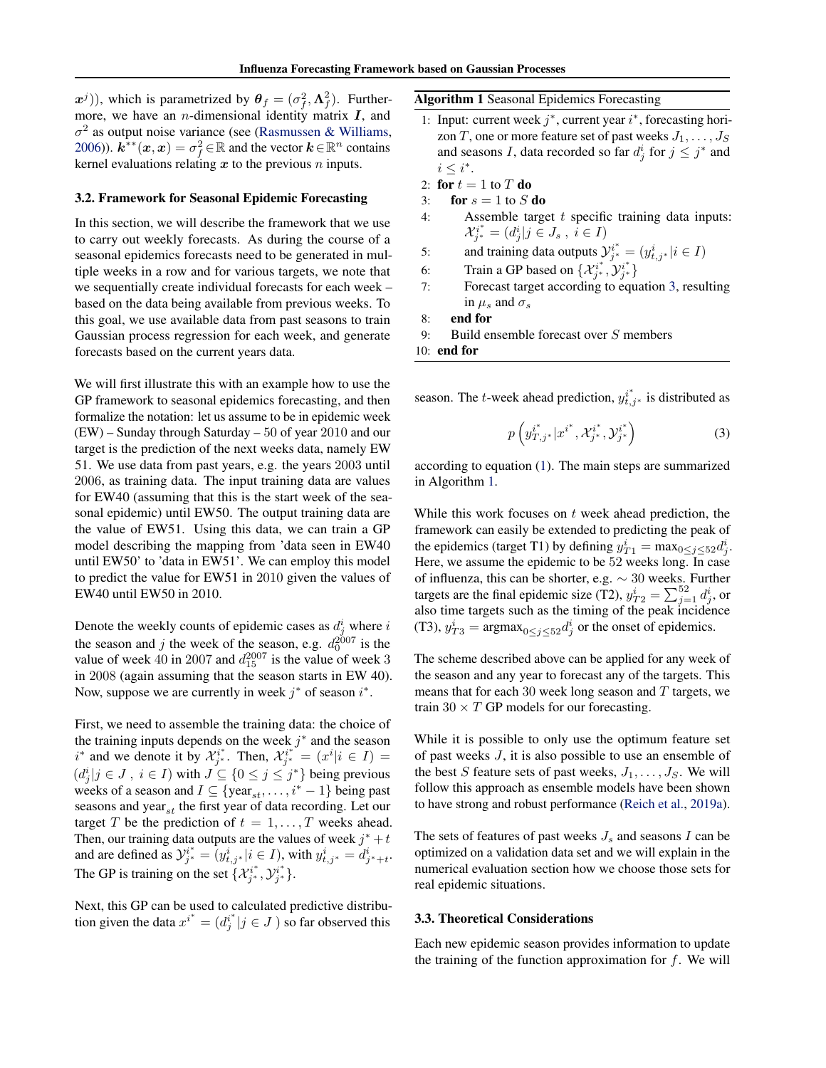<span id="page-2-0"></span> $(x^{j})$ ), which is parametrized by  $\theta_{f} = (\sigma_{f}^{2}, \Lambda_{f}^{2})$ . Furthermore, we have an *n*-dimensional identity matrix  $I$ , and  $\sigma^2$  as output noise variance (see [\(Rasmussen & Williams,](#page-8-0) [2006\)](#page-8-0)).  $\mathbf{k}^{\ast\ast}(\mathbf{x},\mathbf{x})=\sigma_f^2\!\in\!\mathbb{R}$  and the vector  $\mathbf{k}\!\in\!\mathbb{R}^n$  contains kernel evaluations relating  $x$  to the previous  $n$  inputs.

#### 3.2. Framework for Seasonal Epidemic Forecasting

In this section, we will describe the framework that we use to carry out weekly forecasts. As during the course of a seasonal epidemics forecasts need to be generated in multiple weeks in a row and for various targets, we note that we sequentially create individual forecasts for each week – based on the data being available from previous weeks. To this goal, we use available data from past seasons to train Gaussian process regression for each week, and generate forecasts based on the current years data.

We will first illustrate this with an example how to use the GP framework to seasonal epidemics forecasting, and then formalize the notation: let us assume to be in epidemic week (EW) – Sunday through Saturday – 50 of year 2010 and our target is the prediction of the next weeks data, namely EW 51. We use data from past years, e.g. the years 2003 until 2006, as training data. The input training data are values for EW40 (assuming that this is the start week of the seasonal epidemic) until EW50. The output training data are the value of EW51. Using this data, we can train a GP model describing the mapping from 'data seen in EW40 until EW50' to 'data in EW51'. We can employ this model to predict the value for EW51 in 2010 given the values of EW40 until EW50 in 2010.

Denote the weekly counts of epidemic cases as  $d_j^i$  where i the season and j the week of the season, e.g.  $d_0^{2007}$  is the value of week 40 in 2007 and  $d_{15}^{2007}$  is the value of week 3 in 2008 (again assuming that the season starts in EW 40). Now, suppose we are currently in week  $j^*$  of season  $i^*$ .

First, we need to assemble the training data: the choice of the training inputs depends on the week  $j^*$  and the season  $i^*$  and we denote it by  $\mathcal{X}_{j^*}^{i^*}$ . Then,  $\mathcal{X}_{j^*}^{i^*} = (x^i | i \in I)$  $(d_j^i | j \in J, i \in I)$  with  $J \subseteq \{0 \le j \le j^*\}$  being previous weeks of a season and  $I \subseteq \{ \text{year}_{st}, \dots, i^* - 1 \}$  being past seasons and year<sub>st</sub> the first year of data recording. Let our target T be the prediction of  $t = 1, \ldots, T$  weeks ahead. Then, our training data outputs are the values of week  $j^* + t$ and are defined as  $\mathcal{Y}_{j^*}^{i^*} = (y_{t,j^*}^i | i \in I)$ , with  $y_{t,j^*}^i = d_{j^*+t}^i$ . The GP is training on the set  $\{\mathcal{X}_{j^*}^{i^*}, \mathcal{Y}_{j^*}^{i^*}\}.$ 

Next, this GP can be used to calculated predictive distribution given the data  $x^{i^*} = (d^{i^*j} | j \in J)$  so far observed this

Algorithm 1 Seasonal Epidemics Forecasting

- 1: Input: current week  $j^*$ , current year  $i^*$ , forecasting horizon T, one or more feature set of past weeks  $J_1, \ldots, J_S$ and seasons *I*, data recorded so far  $d_j^i$  for  $j \leq j^*$  and  $i \leq i^*$ .
- 2: for  $t = 1$  to  $T$  do
- 3: for  $s = 1$  to  $S$  do
- 4: Assemble target  $t$  specific training data inputs:  $\mathcal{X}_{j^*}^{i^*} = (d_j^i | j \in J_s , i \in I)$
- 5: and training data outputs  $y_{j^*}^{i^*} = (y_{t,j^*}^i | i \in I)$
- 6: Train a GP based on  $\{\mathcal{X}_{j^*}^{i^*}, \mathcal{Y}_{j^*}^{i^*}\}$
- 7: Forecast target according to equation 3, resulting in  $\mu_s$  and  $\sigma_s$
- 8: end for
- 9: Build ensemble forecast over S members

```
10: end for
```
season. The *t*-week ahead prediction,  $y_{t,j^*}^{i^*}$  is distributed as

$$
p\left(y_{T,j^*}^{i^*}|x^{i^*}, \mathcal{X}_{j^*}^{i^*}, \mathcal{Y}_{j^*}^{i^*}\right) \tag{3}
$$

according to equation [\(1\)](#page-1-0). The main steps are summarized in Algorithm 1.

While this work focuses on  $t$  week ahead prediction, the framework can easily be extended to predicting the peak of the epidemics (target T1) by defining  $y_{T1}^i = \max_{0 \le j \le 52} d_j^i$ . Here, we assume the epidemic to be 52 weeks long. In case of influenza, this can be shorter, e.g. ∼ 30 weeks. Further targets are the final epidemic size (T2),  $y_{T2}^i = \sum_{j=1}^{52} d_j^i$ , or also time targets such as the timing of the peak incidence (T3),  $y_{T3}^i = \text{argmax}_{0 \le j \le 52} d_j^i$  or the onset of epidemics.

The scheme described above can be applied for any week of the season and any year to forecast any of the targets. This means that for each 30 week long season and  $T$  targets, we train  $30 \times T$  GP models for our forecasting.

While it is possible to only use the optimum feature set of past weeks J, it is also possible to use an ensemble of the best S feature sets of past weeks,  $J_1, \ldots, J_S$ . We will follow this approach as ensemble models have been shown to have strong and robust performance [\(Reich et al.,](#page-8-0) [2019a\)](#page-8-0).

The sets of features of past weeks  $J_s$  and seasons I can be optimized on a validation data set and we will explain in the numerical evaluation section how we choose those sets for real epidemic situations.

## 3.3. Theoretical Considerations

Each new epidemic season provides information to update the training of the function approximation for  $f$ . We will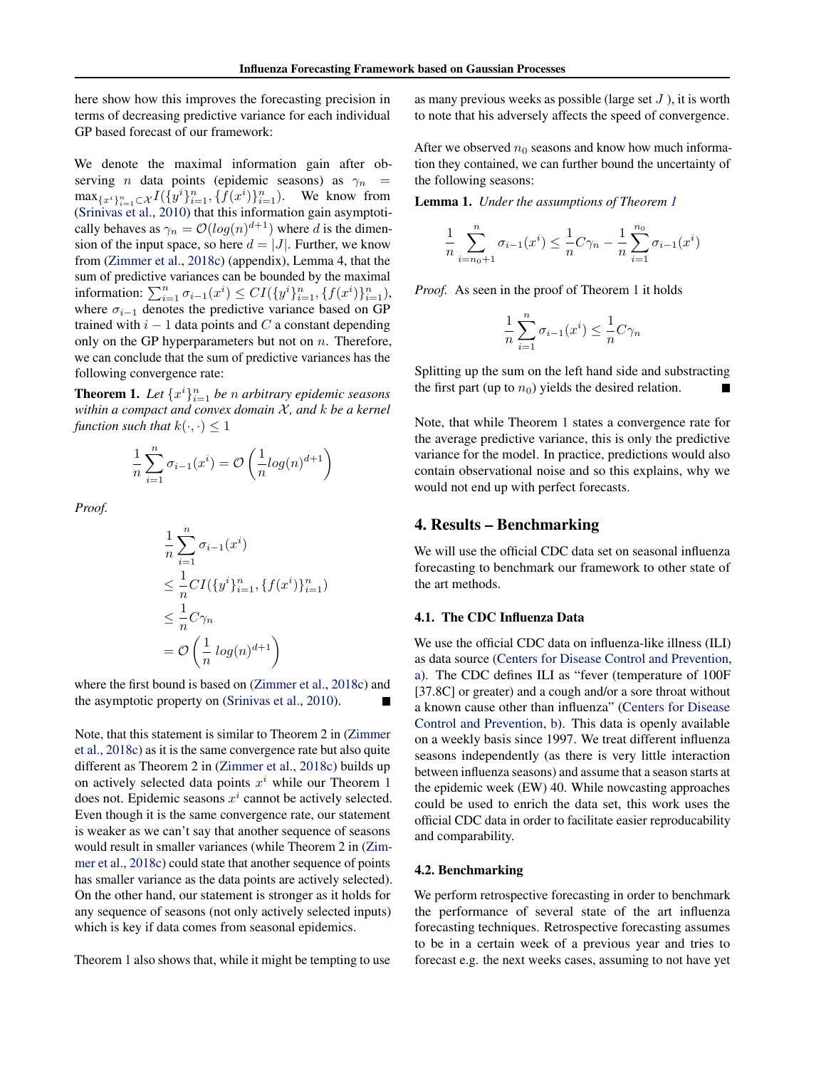here show how this improves the forecasting precision in terms of decreasing predictive variance for each individual GP based forecast of our framework:

We denote the maximal information gain after observing *n* data points (epidemic seasons) as  $\gamma_n$  =  $\max_{\{x^i\}_{i=1}^n \subset \mathcal{X}} I(\{y^i\}_{i=1}^n, \{f(x^i)\}_{i=1}^n)$ . We know from [\(Srinivas et al.,](#page-8-0) [2010\)](#page-8-0) that this information gain asymptotically behaves as  $\gamma_n = O(log(n)^{d+1})$  where d is the dimension of the input space, so here  $d = |J|$ . Further, we know from [\(Zimmer et al.,](#page-8-0) [2018c\)](#page-8-0) (appendix), Lemma 4, that the sum of predictive variances can be bounded by the maximal information:  $\sum_{i=1}^n \sigma_{i-1}(x^i) \leq CI(\{y^i\}_{i=1}^n, \{f(x^i)\}_{i=1}^n)$ , where  $\sigma_{i-1}$  denotes the predictive variance based on GP trained with  $i - 1$  data points and C a constant depending only on the GP hyperparameters but not on  $n$ . Therefore, we can conclude that the sum of predictive variances has the following convergence rate:

**Theorem 1.** Let  $\{x^i\}_{i=1}^n$  be *n* arbitrary epidemic seasons *within a compact and convex domain*  $X$ *, and*  $k$  *be a kernel function such that*  $k(\cdot, \cdot) \leq 1$ 

$$
\frac{1}{n}\sum_{i=1}^{n} \sigma_{i-1}(x^{i}) = \mathcal{O}\left(\frac{1}{n}\log(n)^{d+1}\right)
$$

*Proof.*

$$
\frac{1}{n} \sum_{i=1}^{n} \sigma_{i-1}(x^i)
$$
\n
$$
\leq \frac{1}{n} CI(\{y^i\}_{i=1}^n, \{f(x^i)\}_{i=1}^n)
$$
\n
$$
\leq \frac{1}{n} C \gamma_n
$$
\n
$$
= \mathcal{O}\left(\frac{1}{n} \log(n)^{d+1}\right)
$$

where the first bound is based on [\(Zimmer et al.,](#page-8-0) [2018c\)](#page-8-0) and the asymptotic property on [\(Srinivas et al.,](#page-8-0) [2010\)](#page-8-0).

Note, that this statement is similar to Theorem 2 in [\(Zimmer](#page-8-0) [et al.,](#page-8-0) [2018c\)](#page-8-0) as it is the same convergence rate but also quite different as Theorem 2 in [\(Zimmer et al.,](#page-8-0) [2018c\)](#page-8-0) builds up on actively selected data points  $x^i$  while our Theorem 1 does not. Epidemic seasons  $x^i$  cannot be actively selected. Even though it is the same convergence rate, our statement is weaker as we can't say that another sequence of seasons would result in smaller variances (while Theorem 2 in [\(Zim](#page-8-0)[mer et al.,](#page-8-0) [2018c\)](#page-8-0) could state that another sequence of points has smaller variance as the data points are actively selected). On the other hand, our statement is stronger as it holds for any sequence of seasons (not only actively selected inputs) which is key if data comes from seasonal epidemics.

Theorem 1 also shows that, while it might be tempting to use

as many previous weeks as possible (large set  $J$ ), it is worth to note that his adversely affects the speed of convergence.

After we observed  $n_0$  seasons and know how much information they contained, we can further bound the uncertainty of the following seasons:

Lemma 1. *Under the assumptions of Theorem 1*

$$
\frac{1}{n} \sum_{i=n_0+1}^{n} \sigma_{i-1}(x^i) \le \frac{1}{n} C \gamma_n - \frac{1}{n} \sum_{i=1}^{n_0} \sigma_{i-1}(x^i)
$$

*Proof.* As seen in the proof of Theorem 1 it holds

$$
\frac{1}{n}\sum_{i=1}^{n}\sigma_{i-1}(x^{i}) \le \frac{1}{n}C\gamma_{n}
$$

Splitting up the sum on the left hand side and substracting the first part (up to  $n_0$ ) yields the desired relation.

Note, that while Theorem 1 states a convergence rate for the average predictive variance, this is only the predictive variance for the model. In practice, predictions would also contain observational noise and so this explains, why we would not end up with perfect forecasts.

## 4. Results – Benchmarking

We will use the official CDC data set on seasonal influenza forecasting to benchmark our framework to other state of the art methods.

## 4.1. The CDC Influenza Data

We use the official CDC data on influenza-like illness (ILI) as data source [\(Centers for Disease Control and Prevention,](#page-7-0) [a\)](#page-7-0). The CDC defines ILI as "fever (temperature of 100F [37.8C] or greater) and a cough and/or a sore throat without a known cause other than influenza" [\(Centers for Disease](#page-7-0) [Control and Prevention,](#page-7-0) [b\)](#page-7-0). This data is openly available on a weekly basis since 1997. We treat different influenza seasons independently (as there is very little interaction between influenza seasons) and assume that a season starts at the epidemic week (EW) 40. While nowcasting approaches could be used to enrich the data set, this work uses the official CDC data in order to facilitate easier reproducability and comparability.

#### 4.2. Benchmarking

We perform retrospective forecasting in order to benchmark the performance of several state of the art influenza forecasting techniques. Retrospective forecasting assumes to be in a certain week of a previous year and tries to forecast e.g. the next weeks cases, assuming to not have yet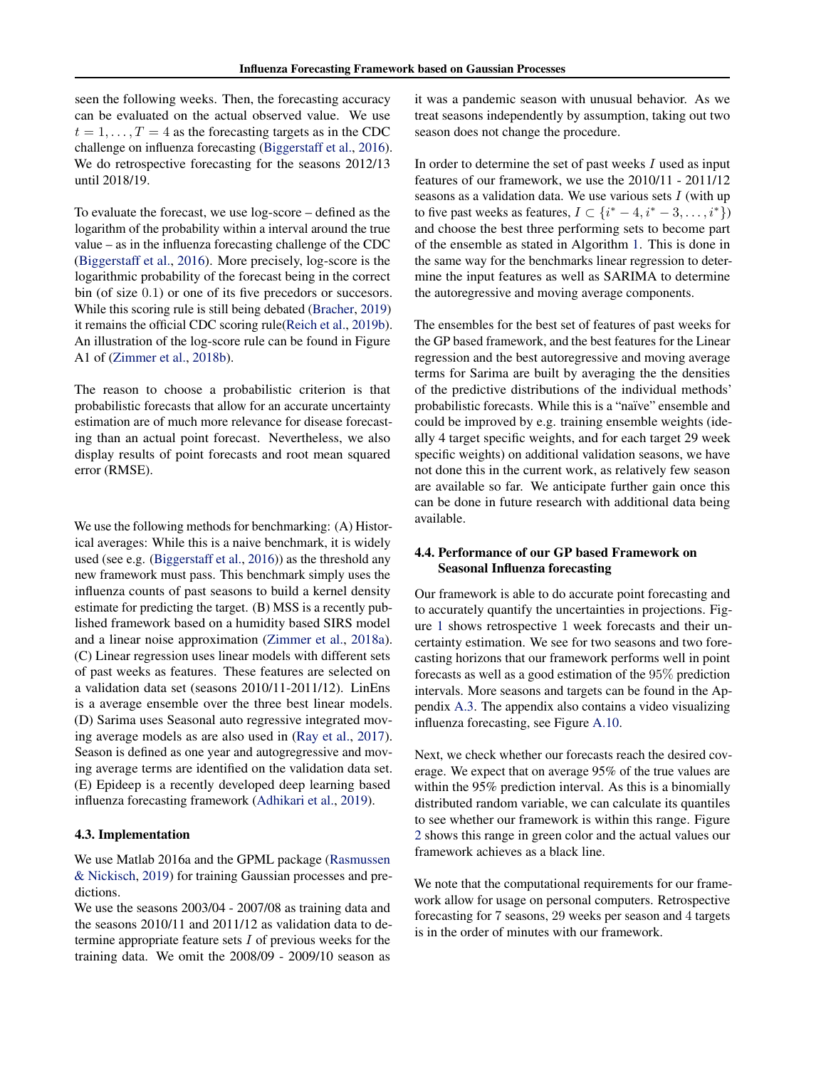seen the following weeks. Then, the forecasting accuracy can be evaluated on the actual observed value. We use  $t = 1, \ldots, T = 4$  as the forecasting targets as in the CDC challenge on influenza forecasting [\(Biggerstaff et al.,](#page-7-0) [2016\)](#page-7-0). We do retrospective forecasting for the seasons 2012/13 until 2018/19.

To evaluate the forecast, we use log-score – defined as the logarithm of the probability within a interval around the true value – as in the influenza forecasting challenge of the CDC [\(Biggerstaff et al.,](#page-7-0) [2016\)](#page-7-0). More precisely, log-score is the logarithmic probability of the forecast being in the correct bin (of size 0.1) or one of its five precedors or succesors. While this scoring rule is still being debated [\(Bracher,](#page-7-0) [2019\)](#page-7-0) it remains the official CDC scoring rule[\(Reich et al.,](#page-8-0) [2019b\)](#page-8-0). An illustration of the log-score rule can be found in Figure A1 of [\(Zimmer et al.,](#page-8-0) [2018b\)](#page-8-0).

The reason to choose a probabilistic criterion is that probabilistic forecasts that allow for an accurate uncertainty estimation are of much more relevance for disease forecasting than an actual point forecast. Nevertheless, we also display results of point forecasts and root mean squared error (RMSE).

We use the following methods for benchmarking: (A) Historical averages: While this is a naive benchmark, it is widely used (see e.g. [\(Biggerstaff et al.,](#page-7-0) [2016\)](#page-7-0)) as the threshold any new framework must pass. This benchmark simply uses the influenza counts of past seasons to build a kernel density estimate for predicting the target. (B) MSS is a recently published framework based on a humidity based SIRS model and a linear noise approximation [\(Zimmer et al.,](#page-8-0) [2018a\)](#page-8-0). (C) Linear regression uses linear models with different sets of past weeks as features. These features are selected on a validation data set (seasons 2010/11-2011/12). LinEns is a average ensemble over the three best linear models. (D) Sarima uses Seasonal auto regressive integrated moving average models as are also used in [\(Ray et al.,](#page-8-0) [2017\)](#page-8-0). Season is defined as one year and autogregressive and moving average terms are identified on the validation data set. (E) Epideep is a recently developed deep learning based influenza forecasting framework [\(Adhikari et al.,](#page-7-0) [2019\)](#page-7-0).

#### 4.3. Implementation

We use Matlab 2016a and the GPML package [\(Rasmussen](#page-8-0) [& Nickisch,](#page-8-0) [2019\)](#page-8-0) for training Gaussian processes and predictions.

We use the seasons 2003/04 - 2007/08 as training data and the seasons 2010/11 and 2011/12 as validation data to determine appropriate feature sets  $I$  of previous weeks for the training data. We omit the 2008/09 - 2009/10 season as

it was a pandemic season with unusual behavior. As we treat seasons independently by assumption, taking out two season does not change the procedure.

In order to determine the set of past weeks  $I$  used as input features of our framework, we use the 2010/11 - 2011/12 seasons as a validation data. We use various sets  $I$  (with up to five past weeks as features,  $I \subset \{i^* - 4, i^* - 3, \ldots, i^*\}\$ and choose the best three performing sets to become part of the ensemble as stated in Algorithm [1.](#page-2-0) This is done in the same way for the benchmarks linear regression to determine the input features as well as SARIMA to determine the autoregressive and moving average components.

The ensembles for the best set of features of past weeks for the GP based framework, and the best features for the Linear regression and the best autoregressive and moving average terms for Sarima are built by averaging the the densities of the predictive distributions of the individual methods' probabilistic forecasts. While this is a "naïve" ensemble and could be improved by e.g. training ensemble weights (ideally 4 target specific weights, and for each target 29 week specific weights) on additional validation seasons, we have not done this in the current work, as relatively few season are available so far. We anticipate further gain once this can be done in future research with additional data being available.

# 4.4. Performance of our GP based Framework on Seasonal Influenza forecasting

Our framework is able to do accurate point forecasting and to accurately quantify the uncertainties in projections. Figure [1](#page-5-0) shows retrospective 1 week forecasts and their uncertainty estimation. We see for two seasons and two forecasting horizons that our framework performs well in point forecasts as well as a good estimation of the 95% prediction intervals. More seasons and targets can be found in the Appendix [A.3.](#page--1-0) The appendix also contains a video visualizing influenza forecasting, see Figure [A.10.](#page--1-0)

Next, we check whether our forecasts reach the desired coverage. We expect that on average 95% of the true values are within the 95% prediction interval. As this is a binomially distributed random variable, we can calculate its quantiles to see whether our framework is within this range. Figure [2](#page-5-0) shows this range in green color and the actual values our framework achieves as a black line.

We note that the computational requirements for our framework allow for usage on personal computers. Retrospective forecasting for 7 seasons, 29 weeks per season and 4 targets is in the order of minutes with our framework.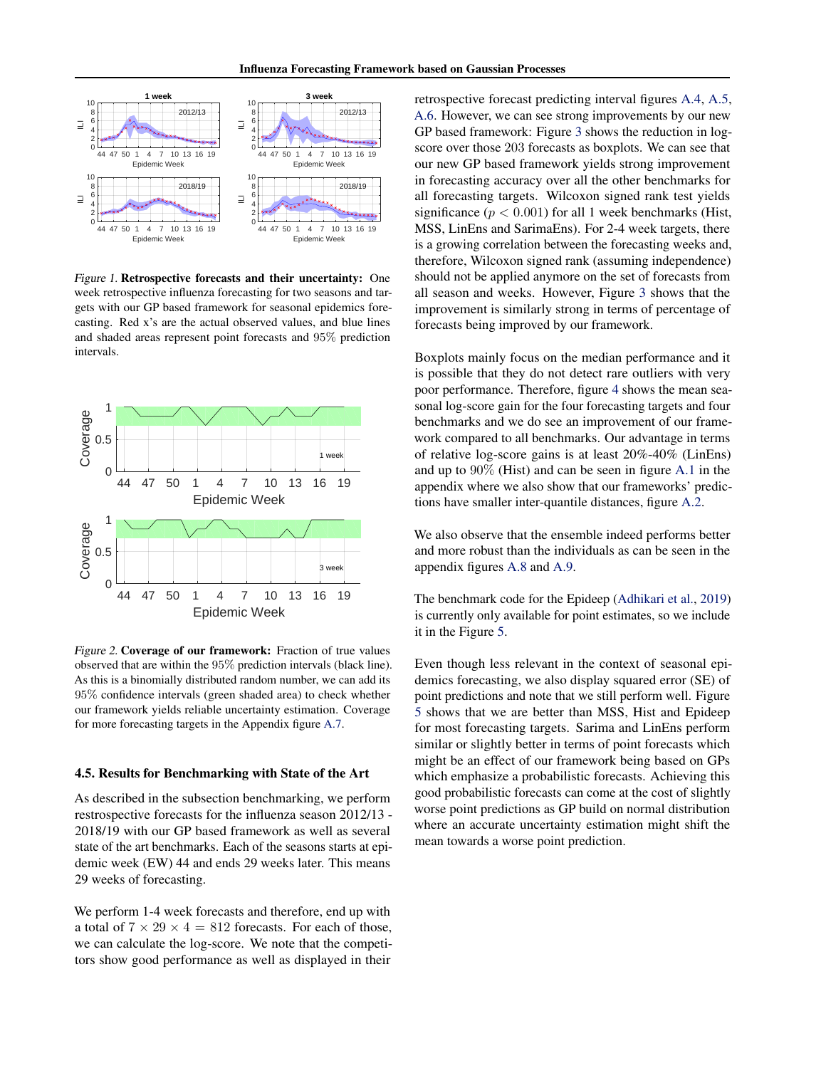<span id="page-5-0"></span>

Figure 1. Retrospective forecasts and their uncertainty: One week retrospective influenza forecasting for two seasons and targets with our GP based framework for seasonal epidemics forecasting. Red x's are the actual observed values, and blue lines and shaded areas represent point forecasts and 95% prediction intervals.



Figure 2. Coverage of our framework: Fraction of true values observed that are within the 95% prediction intervals (black line). As this is a binomially distributed random number, we can add its 95% confidence intervals (green shaded area) to check whether our framework yields reliable uncertainty estimation. Coverage for more forecasting targets in the Appendix figure [A.7.](#page--1-0)

#### 4.5. Results for Benchmarking with State of the Art

As described in the subsection benchmarking, we perform restrospective forecasts for the influenza season 2012/13 - 2018/19 with our GP based framework as well as several state of the art benchmarks. Each of the seasons starts at epidemic week (EW) 44 and ends 29 weeks later. This means 29 weeks of forecasting.

We perform 1-4 week forecasts and therefore, end up with a total of  $7 \times 29 \times 4 = 812$  forecasts. For each of those, we can calculate the log-score. We note that the competitors show good performance as well as displayed in their retrospective forecast predicting interval figures [A.4,](#page--1-0) [A.5,](#page--1-0) [A.6.](#page--1-0) However, we can see strong improvements by our new GP based framework: Figure [3](#page-6-0) shows the reduction in logscore over those 203 forecasts as boxplots. We can see that our new GP based framework yields strong improvement in forecasting accuracy over all the other benchmarks for all forecasting targets. Wilcoxon signed rank test yields significance ( $p < 0.001$ ) for all 1 week benchmarks (Hist, MSS, LinEns and SarimaEns). For 2-4 week targets, there is a growing correlation between the forecasting weeks and, therefore, Wilcoxon signed rank (assuming independence) should not be applied anymore on the set of forecasts from all season and weeks. However, Figure [3](#page-6-0) shows that the improvement is similarly strong in terms of percentage of forecasts being improved by our framework.

Boxplots mainly focus on the median performance and it is possible that they do not detect rare outliers with very poor performance. Therefore, figure [4](#page-6-0) shows the mean seasonal log-score gain for the four forecasting targets and four benchmarks and we do see an improvement of our framework compared to all benchmarks. Our advantage in terms of relative log-score gains is at least 20%-40% (LinEns) and up to 90% (Hist) and can be seen in figure [A.1](#page--1-0) in the appendix where we also show that our frameworks' predictions have smaller inter-quantile distances, figure [A.2.](#page--1-0)

We also observe that the ensemble indeed performs better and more robust than the individuals as can be seen in the appendix figures [A.8](#page--1-0) and [A.9.](#page--1-0)

The benchmark code for the Epideep [\(Adhikari et al.,](#page-7-0) [2019\)](#page-7-0) is currently only available for point estimates, so we include it in the Figure [5.](#page-7-0)

Even though less relevant in the context of seasonal epidemics forecasting, we also display squared error (SE) of point predictions and note that we still perform well. Figure [5](#page-7-0) shows that we are better than MSS, Hist and Epideep for most forecasting targets. Sarima and LinEns perform similar or slightly better in terms of point forecasts which might be an effect of our framework being based on GPs which emphasize a probabilistic forecasts. Achieving this good probabilistic forecasts can come at the cost of slightly worse point predictions as GP build on normal distribution where an accurate uncertainty estimation might shift the mean towards a worse point prediction.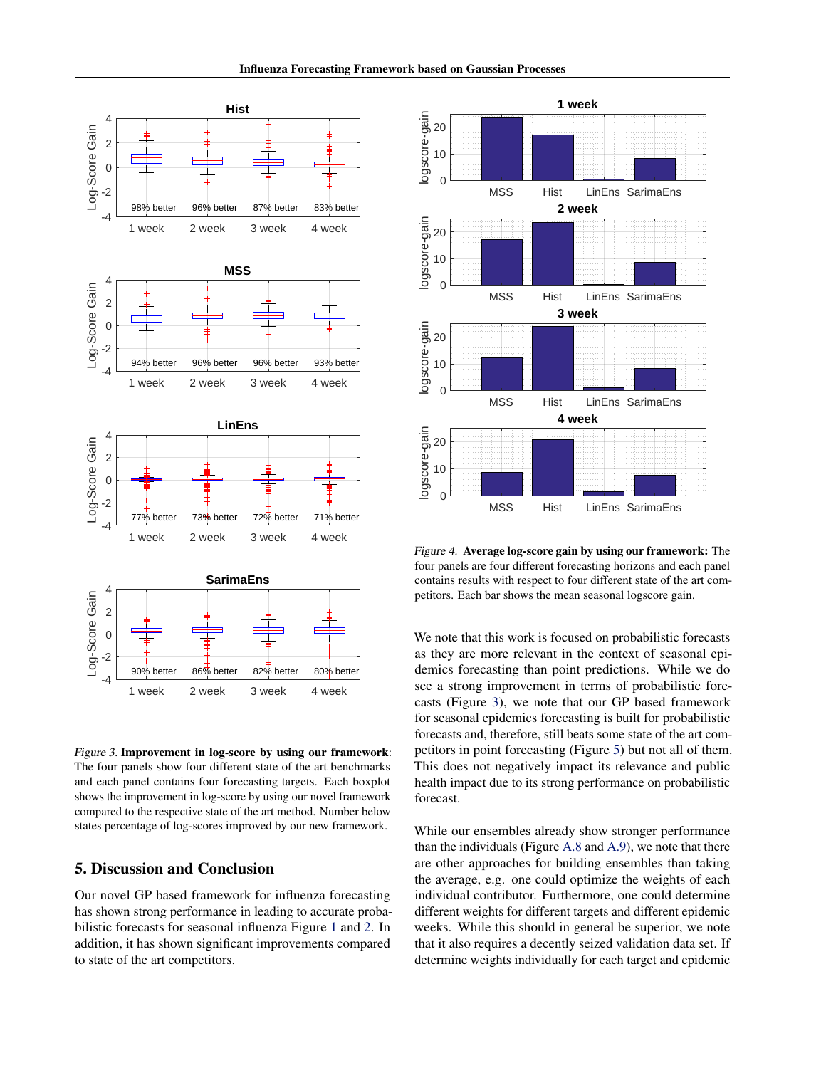<span id="page-6-0"></span>

Figure 3. Improvement in log-score by using our framework: The four panels show four different state of the art benchmarks and each panel contains four forecasting targets. Each boxplot shows the improvement in log-score by using our novel framework compared to the respective state of the art method. Number below states percentage of log-scores improved by our new framework.

# 5. Discussion and Conclusion

Our novel GP based framework for influenza forecasting has shown strong performance in leading to accurate probabilistic forecasts for seasonal influenza Figure [1](#page-5-0) and [2.](#page-5-0) In addition, it has shown significant improvements compared to state of the art competitors.



Figure 4. Average log-score gain by using our framework: The four panels are four different forecasting horizons and each panel contains results with respect to four different state of the art competitors. Each bar shows the mean seasonal logscore gain.

We note that this work is focused on probabilistic forecasts as they are more relevant in the context of seasonal epidemics forecasting than point predictions. While we do see a strong improvement in terms of probabilistic forecasts (Figure 3), we note that our GP based framework for seasonal epidemics forecasting is built for probabilistic forecasts and, therefore, still beats some state of the art competitors in point forecasting (Figure [5\)](#page-7-0) but not all of them. This does not negatively impact its relevance and public health impact due to its strong performance on probabilistic forecast.

While our ensembles already show stronger performance than the individuals (Figure [A.8](#page--1-0) and [A.9\)](#page--1-0), we note that there are other approaches for building ensembles than taking the average, e.g. one could optimize the weights of each individual contributor. Furthermore, one could determine different weights for different targets and different epidemic weeks. While this should in general be superior, we note that it also requires a decently seized validation data set. If determine weights individually for each target and epidemic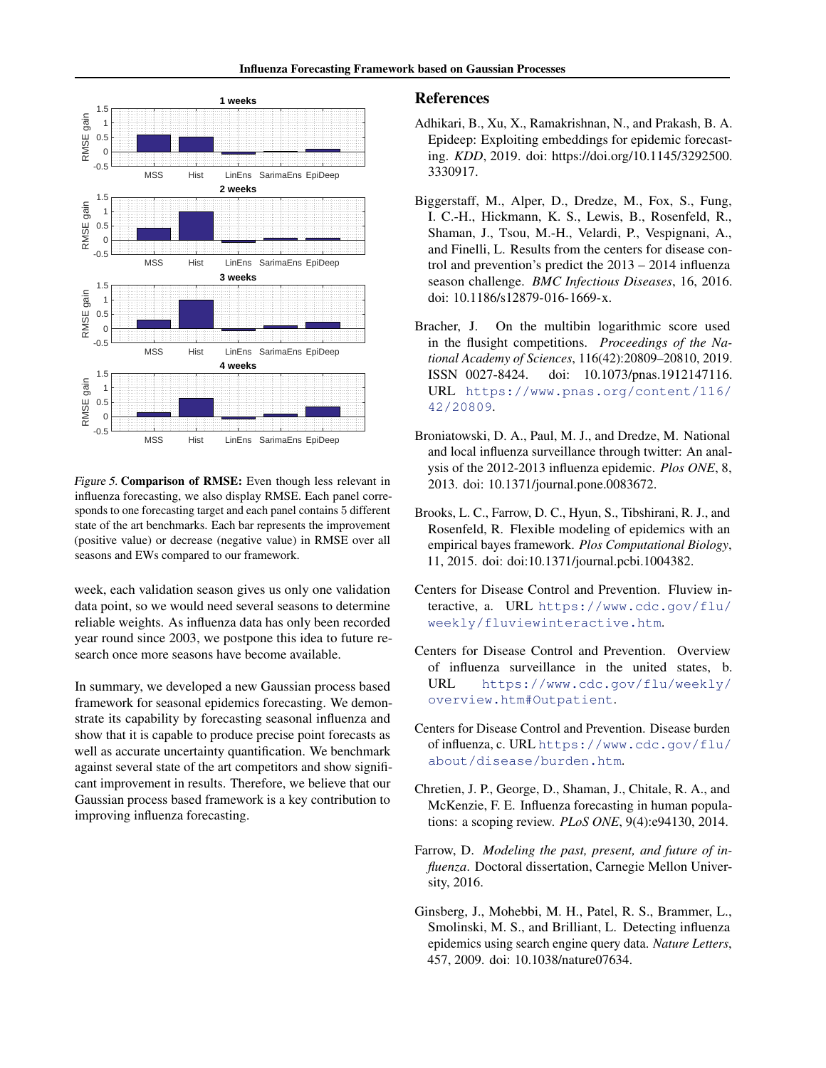<span id="page-7-0"></span>

Figure 5. Comparison of RMSE: Even though less relevant in influenza forecasting, we also display RMSE. Each panel corresponds to one forecasting target and each panel contains 5 different state of the art benchmarks. Each bar represents the improvement (positive value) or decrease (negative value) in RMSE over all seasons and EWs compared to our framework.

week, each validation season gives us only one validation data point, so we would need several seasons to determine reliable weights. As influenza data has only been recorded year round since 2003, we postpone this idea to future research once more seasons have become available.

In summary, we developed a new Gaussian process based framework for seasonal epidemics forecasting. We demonstrate its capability by forecasting seasonal influenza and show that it is capable to produce precise point forecasts as well as accurate uncertainty quantification. We benchmark against several state of the art competitors and show significant improvement in results. Therefore, we believe that our Gaussian process based framework is a key contribution to improving influenza forecasting.

## References

- Adhikari, B., Xu, X., Ramakrishnan, N., and Prakash, B. A. Epideep: Exploiting embeddings for epidemic forecasting. *KDD*, 2019. doi: https://doi.org/10.1145/3292500. 3330917.
- Biggerstaff, M., Alper, D., Dredze, M., Fox, S., Fung, I. C.-H., Hickmann, K. S., Lewis, B., Rosenfeld, R., Shaman, J., Tsou, M.-H., Velardi, P., Vespignani, A., and Finelli, L. Results from the centers for disease control and prevention's predict the 2013 – 2014 influenza season challenge. *BMC Infectious Diseases*, 16, 2016. doi: 10.1186/s12879-016-1669-x.
- Bracher, J. On the multibin logarithmic score used in the flusight competitions. *Proceedings of the National Academy of Sciences*, 116(42):20809–20810, 2019. ISSN 0027-8424. doi: 10.1073/pnas.1912147116. URL [https://www.pnas.org/content/116/](https://www.pnas.org/content/116/42/20809) [42/20809](https://www.pnas.org/content/116/42/20809).
- Broniatowski, D. A., Paul, M. J., and Dredze, M. National and local influenza surveillance through twitter: An analysis of the 2012-2013 influenza epidemic. *Plos ONE*, 8, 2013. doi: 10.1371/journal.pone.0083672.
- Brooks, L. C., Farrow, D. C., Hyun, S., Tibshirani, R. J., and Rosenfeld, R. Flexible modeling of epidemics with an empirical bayes framework. *Plos Computational Biology*, 11, 2015. doi: doi:10.1371/journal.pcbi.1004382.
- Centers for Disease Control and Prevention. Fluview interactive, a. URL [https://www.cdc.gov/flu/](https://www.cdc.gov/flu/weekly/fluviewinteractive.htm) [weekly/fluviewinteractive.htm](https://www.cdc.gov/flu/weekly/fluviewinteractive.htm).
- Centers for Disease Control and Prevention. Overview of influenza surveillance in the united states, b. URL [https://www.cdc.gov/flu/weekly/](https://www.cdc.gov/flu/weekly/overview.htm#Outpatient) [overview.htm#Outpatient](https://www.cdc.gov/flu/weekly/overview.htm#Outpatient).
- Centers for Disease Control and Prevention. Disease burden of influenza, c. URL [https://www.cdc.gov/flu/](https://www.cdc.gov/flu/about/disease/burden.htm) [about/disease/burden.htm](https://www.cdc.gov/flu/about/disease/burden.htm).
- Chretien, J. P., George, D., Shaman, J., Chitale, R. A., and McKenzie, F. E. Influenza forecasting in human populations: a scoping review. *PLoS ONE*, 9(4):e94130, 2014.
- Farrow, D. *Modeling the past, present, and future of influenza*. Doctoral dissertation, Carnegie Mellon University, 2016.
- Ginsberg, J., Mohebbi, M. H., Patel, R. S., Brammer, L., Smolinski, M. S., and Brilliant, L. Detecting influenza epidemics using search engine query data. *Nature Letters*, 457, 2009. doi: 10.1038/nature07634.